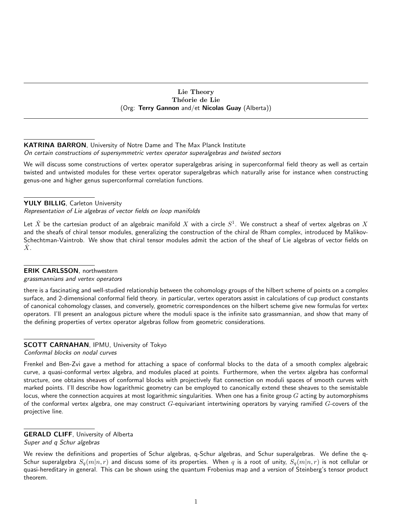### Lie Theory Théorie de Lie (Org: Terry Gannon and/et Nicolas Guay (Alberta))

## KATRINA BARRON, University of Notre Dame and The Max Planck Institute On certain constructions of supersymmetric vertex operator superalgebras and twisted sectors

We will discuss some constructions of vertex operator superalgebras arising in superconformal field theory as well as certain twisted and untwisted modules for these vertex operator superalgebras which naturally arise for instance when constructing genus-one and higher genus superconformal correlation functions.

## YULY BILLIG, Carleton University

Representation of Lie algebras of vector fields on loop manifolds

Let  $\hat{X}$  be the cartesian product of an algebraic manifold  $X$  with a circle  $S^1.$  We construct a sheaf of vertex algebras on  $X$ and the sheafs of chiral tensor modules, generalizing the construction of the chiral de Rham complex, introduced by Malikov-Schechtman-Vaintrob. We show that chiral tensor modules admit the action of the sheaf of Lie algebras of vector fields on  $\hat{X}$ .

## ERIK CARLSSON, northwestern

grassmannians and vertex operators

there is a fascinating and well-studied relationship between the cohomology groups of the hilbert scheme of points on a complex surface, and 2-dimensional conformal field theory. in particular, vertex operators assist in calculations of cup product constants of canonical cohomology classes, and conversely, geometric correspondences on the hilbert scheme give new formulas for vertex operators. I'll present an analogous picture where the moduli space is the infinite sato grassmannian, and show that many of the defining properties of vertex operator algebras follow from geometric considerations.

# SCOTT CARNAHAN, IPMU, University of Tokyo

Conformal blocks on nodal curves

Frenkel and Ben-Zvi gave a method for attaching a space of conformal blocks to the data of a smooth complex algebraic curve, a quasi-conformal vertex algebra, and modules placed at points. Furthermore, when the vertex algebra has conformal structure, one obtains sheaves of conformal blocks with projectively flat connection on moduli spaces of smooth curves with marked points. I'll describe how logarithmic geometry can be employed to canonically extend these sheaves to the semistable locus, where the connection acquires at most logarithmic singularities. When one has a finite group  $G$  acting by automorphisms of the conformal vertex algebra, one may construct  $G$ -equivariant intertwining operators by varying ramified  $G$ -covers of the projective line.

#### GERALD CLIFF, University of Alberta Super and q Schur algebras

We review the definitions and properties of Schur algebras, q-Schur algebras, and Schur superalgebras. We define the q-Schur superalgebra  $S_q(m|n, r)$  and discuss some of its properties. When q is a root of unity,  $S_q(m|n, r)$  is not cellular or quasi-hereditary in general. This can be shown using the quantum Frobenius map and a version of Steinberg's tensor product theorem.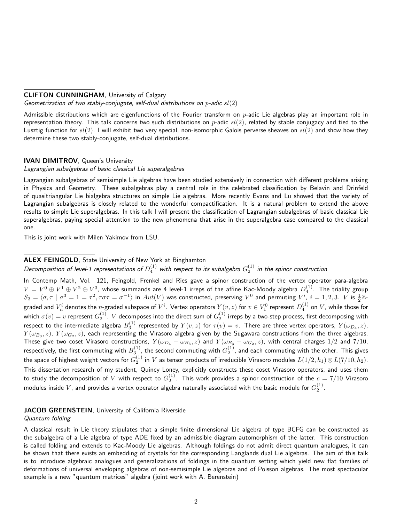#### CLIFTON CUNNINGHAM, University of Calgary

Geometrization of two stably-conjugate, self-dual distributions on  $p$ -adic  $sl(2)$ 

Admissible distributions which are eigenfunctions of the Fourier transform on  $p$ -adic Lie algebras play an important role in representation theory. This talk concerns two such distributions on  $p$ -adic  $sl(2)$ , related by stable conjugacy and tied to the Lusztig function for  $sl(2)$ . I will exhibit two very special, non-isomorphic Galois perverse sheaves on  $sl(2)$  and show how they determine these two stably-conjugate, self-dual distributions.

#### IVAN DIMITROV, Queen's University

Lagrangian subalgebras of basic classical Lie superalgebras

Lagrangian subalgebras of semisimple Lie algebras have been studied extensively in connection with different problems arising in Physics and Geometry. These subalgebras play a central role in the celebrated classification by Belavin and Drinfeld of quasitriangular Lie bialgebra structures on simple Lie algebras. More recently Evans and Lu showed that the variety of Lagrangian subalgebras is closely related to the wonderful compactification. It is a natural problem to extend the above results to simple Lie superalgebras. In this talk I will present the classification of Lagrangian subalgebras of basic classical Lie superalgebras, paying special attention to the new phenomena that arise in the superalgebra case compared to the classical one.

This is joint work with Milen Yakimov from LSU.

#### ALEX FEINGOLD, State University of New York at Binghamton

Decomposition of level-1 representations of  $D_4^{(1)}$  with respect to its subalgebra  $G_2^{(1)}$  in the spinor construction

In Contemp Math, Vol. 121, Feingold, Frenkel and Ries gave a spinor construction of the vertex operator para-algebra  $V=V^0\oplus V^1\oplus V^2\oplus V^3$ , whose summands are 4 level-1 irreps of the affine Kac-Moody algebra  $D_4^{(1)}$ . The triality group  $S_3=\langle \sigma,\tau\mid \sigma^3=1=\tau^2,\tau\sigma\tau=\sigma^{-1}\rangle$  in  $Aut(V)$  was constructed, preserving  $V^0$  and permuting  $V^i,\,i=1,2,3.\ \ V$  is  $\frac{1}{2}\mathbb{Z}$ graded and  $V_n^i$  denotes the  $n$ -graded subspace of  $V^i$ . Vertex operators  $Y(v,z)$  for  $v\in V_1^0$  represent  $D_4^{(1)}$  on  $V$ , while those for which  $\sigma(v)=v$  represent  $G_2^{(1)}$ .  $V$  decomposes into the direct sum of  $G_2^{(1)}$  irreps by a two-step process, first decomposing with respect to the intermediate algebra  $B_3^{(1)}$  represented by  $Y(v,z)$  for  $\tau(v)=v.$  There are three vertex operators,  $Y(\omega_{D_4},z)$ ,  $Y(\omega_{B_3},z)$ ,  $Y(\omega_{G_2},z)$ , each representing the Virasoro algebra given by the Sugawara constructions from the three algebras. These give two coset Virasoro constructions,  $Y(\omega_{D_4}-\omega_{B_3},z)$  and  $Y(\omega_{B_3}-\omega_{G_2},z)$ , with central charges  $1/2$  and  $7/10$ , respectively, the first commuting with  $B_3^{(1)}$ , the second commuting with  $G_2^{(1)}$ , and each commuting with the other. This gives the space of highest weight vectors for  $G_2^{(1)}$  in  $V$  as tensor products of irreducible Virasoro modules  $L(1/2,h_1)\otimes L(7/10,h_2).$ This dissertation research of my student, Quincy Loney, explicitly constructs these coset Virasoro operators, and uses them to study the decomposition of  $V$  with respect to  $G_2^{(1)}$ . This work provides a spinor construction of the  $c=7/10$  Virasoro modules inside  $V$ , and provides a vertex operator algebra naturally associated with the basic module for  $G_2^{(1)}.$ 

#### JACOB GREENSTEIN, University of California Riverside

#### Quantum folding

A classical result in Lie theory stipulates that a simple finite dimensional Lie algebra of type BCFG can be constructed as the subalgebra of a Lie algebra of type ADE fixed by an admissible diagram automorphism of the latter. This construction is called folding and extends to Kac-Moody Lie algebras. Although foldings do not admit direct quantum analogues, it can be shown that there exists an embedding of crystals for the corresponding Langlands dual Lie algebras. The aim of this talk is to introduce algebraic analogues and generalizations of foldings in the quantum setting which yield new flat families of deformations of universal enveloping algebras of non-semisimple Lie algebras and of Poisson algebras. The most spectacular example is a new "quantum matrices" algebra (joint work with A. Berenstein)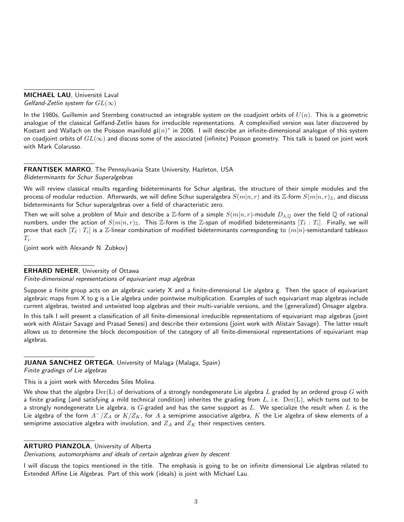MICHAEL LAU, Université Laval Gelfand-Zetlin system for  $GL(\infty)$ 

In the 1980s, Guillemin and Sternberg constructed an integrable system on the coadjoint orbits of  $U(n)$ . This is a geometric analogue of the classical Gelfand-Zetlin bases for irreducible representations. A complexified version was later discovered by Kostant and Wallach on the Poisson manifold  $\mathfrak{gl}(n)^*$  in 2006. I will describe an infinite-dimensional analogue of this system on coadjoint orbits of  $GL(\infty)$  and discuss some of the associated (infinite) Poisson geometry. This talk is based on joint work with Mark Colarusso.

FRANTISEK MARKO, The Pennsylvania State University, Hazleton, USA Bideterminants for Schur Superalgebras

We will review classical results regarding bideterminants for Schur algebras, the structure of their simple modules and the process of modular reduction. Afterwards, we will define Schur superalgebra  $S(m|n, r)$  and its Z-form  $S(m|n, r)_{\mathbb{Z}}$ , and discuss bideterminants for Schur superalgebras over a field of characteristic zero.

Then we will solve a problem of Muir and describe a Z-form of a simple  $S(m|n,r)$ -module  $D_{\lambda,Q}$  over the field  $Q$  of rational numbers, under the action of  $S(m|n, r)_{\mathbb{Z}}$ . This  $\mathbb{Z}$ -form is the  $\mathbb{Z}$ -span of modified bideterminants  $[T_\ell : T_i]$ . Finally, we will prove that each  $[T_\ell : T_i]$  is a  $\Z$ -linear combination of modified bideterminants corresponding to  $(m|n)$ -semistandard tableaux  $T_i.$ 

(joint work with Alexandr N. Zubkov)

## ERHARD NEHER, University of Ottawa

Finite-dimensional representations of equivariant map algebras

Suppose a finite group acts on an algebraic variety X and a finite-dimensional Lie algebra g. Then the space of equivariant algebraic maps from X to g is a Lie algebra under pointwise multiplication. Examples of such equivariant map algebras include current algebras, twisted and untwisted loop algebras and their multi-variable versions, and the (generalized) Onsager algebra.

In this talk I will present a classification of all finite-dimensional irreducible representations of equivariant map algebras (joint work with Alistair Savage and Prasad Senesi) and describe their extensions (joint work with Alistair Savage). The latter result allows us to determine the block decomposition of the category of all finite-dimensional representations of equivariant map algebras.

## JUANA SANCHEZ ORTEGA, University of Malaga (Malaga, Spain)

Finite gradings of Lie algebras

This is a joint work with Mercedes Siles Molina.

We show that the algebra  $Der(L)$  of derivations of a strongly nondegenerate Lie algebra L graded by an ordered group G with a finite grading (and satisfying a mild technical condition) inherites the grading from  $L$ , i.e.  $Der(L)$ , which turns out to be a strongly nondegenerate Lie algebra, is  $G$ -graded and has the same support as  $L$ . We specialize the result when  $L$  is the Lie algebra of the form  $A^-/Z_A$  or  $K/Z_K$ , for A a semiprime associative algebra, K the Lie algebra of skew elements of a semiprime associative algebra with involution, and  $Z_A$  and  $Z_K$  their respectives centers.

### ARTURO PIANZOLA, University of Alberta

Derivations, automorphisms and ideals of certain algebras given by descent

I will discuss the topics mentioned in the title. The emphasis is going to be on infinite dimensional Lie algebras related to Extended Affine Lie Algebras. Part of this work (ideals) is joint with Michael Lau.